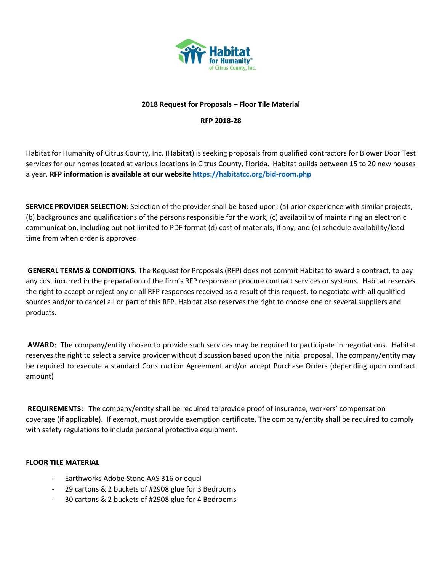

## **2018 Request for Proposals – Floor Tile Material**

**RFP 2018-28**

Habitat for Humanity of Citrus County, Inc. (Habitat) is seeking proposals from qualified contractors for Blower Door Test services for our homes located at various locations in Citrus County, Florida. Habitat builds between 15 to 20 new houses a year. **RFP information is available at our website<https://habitatcc.org/bid-room.php>**

**SERVICE PROVIDER SELECTION**: Selection of the provider shall be based upon: (a) prior experience with similar projects, (b) backgrounds and qualifications of the persons responsible for the work, (c) availability of maintaining an electronic communication, including but not limited to PDF format (d) cost of materials, if any, and (e) schedule availability/lead time from when order is approved.

**GENERAL TERMS & CONDITIONS**: The Request for Proposals (RFP) does not commit Habitat to award a contract, to pay any cost incurred in the preparation of the firm's RFP response or procure contract services or systems. Habitat reserves the right to accept or reject any or all RFP responses received as a result of this request, to negotiate with all qualified sources and/or to cancel all or part of this RFP. Habitat also reserves the right to choose one or several suppliers and products.

**AWARD**: The company/entity chosen to provide such services may be required to participate in negotiations. Habitat reserves the right to select a service provider without discussion based upon the initial proposal. The company/entity may be required to execute a standard Construction Agreement and/or accept Purchase Orders (depending upon contract amount)

**REQUIREMENTS:** The company/entity shall be required to provide proof of insurance, workers' compensation coverage (if applicable). If exempt, must provide exemption certificate. The company/entity shall be required to comply with safety regulations to include personal protective equipment.

## **FLOOR TILE MATERIAL**

- Earthworks Adobe Stone AAS 316 or equal
- 29 cartons & 2 buckets of #2908 glue for 3 Bedrooms
- 30 cartons & 2 buckets of #2908 glue for 4 Bedrooms